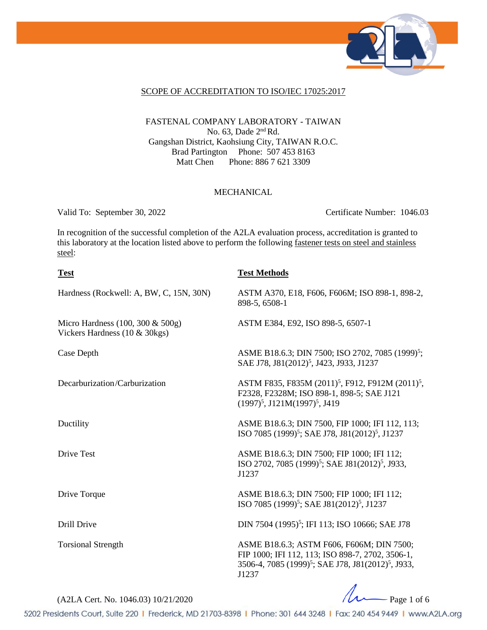

### SCOPE OF ACCREDITATION TO ISO/IEC 17025:2017

## FASTENAL COMPANY LABORATORY - TAIWAN No. 63, Dade 2nd Rd. Gangshan District, Kaohsiung City, TAIWAN R.O.C. Brad Partington Phone: 507 453 8163<br>Matt Chen Phone: 886 7 621 3309 Phone: 886 7 621 3309

## MECHANICAL

Valid To: September 30, 2022 Certificate Number: 1046.03

In recognition of the successful completion of the A2LA evaluation process, accreditation is granted to this laboratory at the location listed above to perform the following fastener tests on steel and stainless steel:

| <b>Test</b>                                                       | <b>Test Methods</b>                                                                                                                                                                  |
|-------------------------------------------------------------------|--------------------------------------------------------------------------------------------------------------------------------------------------------------------------------------|
| Hardness (Rockwell: A, BW, C, 15N, 30N)                           | ASTM A370, E18, F606, F606M; ISO 898-1, 898-2,<br>898-5, 6508-1                                                                                                                      |
| Micro Hardness (100, 300 & 500g)<br>Vickers Hardness (10 & 30kgs) | ASTM E384, E92, ISO 898-5, 6507-1                                                                                                                                                    |
| Case Depth                                                        | ASME B18.6.3; DIN 7500; ISO 2702, 7085 (1999) <sup>5</sup> ;<br>SAE J78, J81(2012) <sup>5</sup> , J423, J933, J1237                                                                  |
| Decarburization/Carburization                                     | ASTM F835, F835M (2011) <sup>5</sup> , F912, F912M (2011) <sup>5</sup> ,<br>F2328, F2328M; ISO 898-1, 898-5; SAE J121<br>$(1997)^5$ , J121M $(1997)^5$ , J419                        |
| Ductility                                                         | ASME B18.6.3; DIN 7500, FIP 1000; IFI 112, 113;<br>ISO 7085 (1999) <sup>5</sup> ; SAE J78, J81(2012) <sup>5</sup> , J1237                                                            |
| Drive Test                                                        | ASME B18.6.3; DIN 7500; FIP 1000; IFI 112;<br>ISO 2702, 7085 (1999) <sup>5</sup> ; SAE J81(2012) <sup>5</sup> , J933,<br>J1237                                                       |
| Drive Torque                                                      | ASME B18.6.3; DIN 7500; FIP 1000; IFI 112;<br>ISO 7085 (1999) <sup>5</sup> ; SAE J81(2012) <sup>5</sup> , J1237                                                                      |
| Drill Drive                                                       | DIN 7504 (1995) <sup>5</sup> ; IFI 113; ISO 10666; SAE J78                                                                                                                           |
| <b>Torsional Strength</b>                                         | ASME B18.6.3; ASTM F606, F606M; DIN 7500;<br>FIP 1000; IFI 112, 113; ISO 898-7, 2702, 3506-1,<br>3506-4, 7085 (1999) <sup>5</sup> ; SAE J78, J81(2012) <sup>5</sup> , J933,<br>J1237 |

 $(A2LA$  Cert. No. 1046.03) 10/21/2020

5202 Presidents Court, Suite 220 | Frederick, MD 21703-8398 | Phone: 301 644 3248 | Fax: 240 454 9449 | www.A2LA.org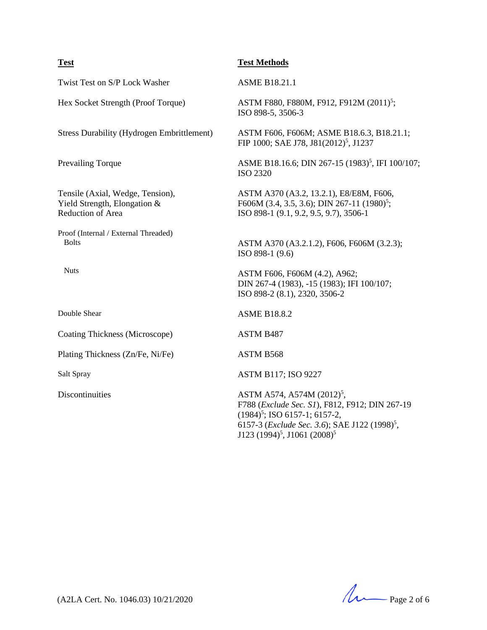## **Test Test Methods**

Twist Test on S/P Lock Washer ASME B18.21.1

Tensile (Axial, Wedge, Tension), Yield Strength, Elongation & Reduction of Area

Proof (Internal / External Threaded) Bolts

Nuts

Coating Thickness (Microscope) ASTM B487

Plating Thickness (Zn/Fe, Ni/Fe) ASTM B568

Hex Socket Strength (Proof Torque) ASTM F880, F880M, F912, F912M (2011)<sup>5</sup>; ISO 898-5, 3506-3

Stress Durability (Hydrogen Embrittlement) ASTM F606, F606M; ASME B18.6.3, B18.21.1; FIP 1000; SAE J78, J81(2012)<sup>5</sup>, J1237

Prevailing Torque ASME B18.16.6; DIN 267-15 (1983)<sup>5</sup>, IFI 100/107; ISO 2320

> ASTM A370 (A3.2, 13.2.1), E8/E8M, F606, F606M (3.4, 3.5, 3.6); DIN 267-11 (1980)<sup>5</sup>; ISO 898-1 (9.1, 9.2, 9.5, 9.7), 3506-1

ASTM A370 (A3.2.1.2), F606, F606M (3.2.3); ISO 898-1 (9.6)

ASTM F606, F606M (4.2), A962; DIN 267-4 (1983), -15 (1983); IFI 100/107; ISO 898-2 (8.1), 2320, 3506-2

Double Shear ASME B18.8.2

Salt Spray ASTM B117; ISO 9227

Discontinuities  $\Delta$ STM  $\Delta$ 574,  $\Delta$ 574M (2012)<sup>5</sup>, F788 (*Exclude Sec. S1*), F812, F912; DIN 267-19  $(1984)^5$ ; ISO 6157-1; 6157-2, 6157-3 (*Exclude Sec. 3.6*); SAE J122 (1998)<sup>5</sup>, J123 (1994) 5 , J1061 (2008)5

(A2LA Cert. No. 1046.03) 10/21/2020 Page 2 of 6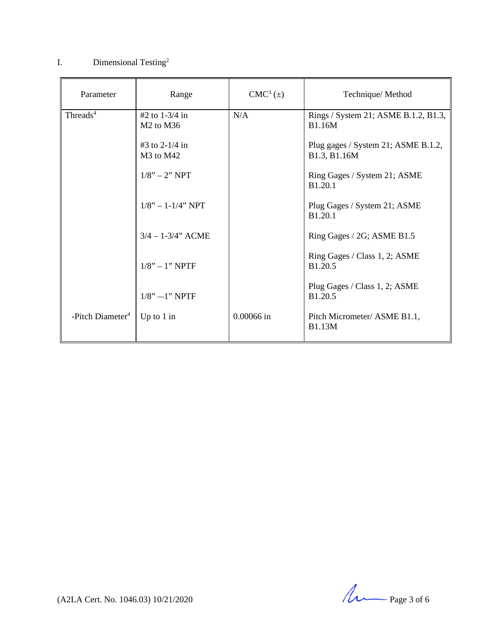## I. Dimensional Testing<sup>2</sup>

| Parameter                    | Range                                               | $CMC3(\pm)$ | Technique/Method                                      |
|------------------------------|-----------------------------------------------------|-------------|-------------------------------------------------------|
| Threads <sup>4</sup>         | #2 to $1-3/4$ in<br>$M2$ to $M36$                   | N/A         | Rings / System 21; ASME B.1.2, B1.3,<br><b>B1.16M</b> |
|                              | #3 to 2-1/4 in<br>M <sub>3</sub> to M <sub>42</sub> |             | Plug gages / System 21; ASME B.1.2,<br>B1.3, B1.16M   |
|                              | $1/8" - 2" NPT$                                     |             | Ring Gages / System 21; ASME<br><b>B1.20.1</b>        |
|                              | $1/8$ " $- 1 - 1/4$ " NPT                           |             | Plug Gages / System 21; ASME<br>B <sub>1.20.1</sub>   |
|                              | $3/4 - 1 - 3/4$ " ACME                              |             | Ring Gages / 2G; ASME B1.5                            |
|                              | $1/8" - 1" NPTF$                                    |             | Ring Gages / Class 1, 2; ASME<br>B1.20.5              |
|                              | $1/8$ " $-1$ " NPTF                                 |             | Plug Gages / Class 1, 2; ASME<br>B1.20.5              |
| -Pitch Diameter <sup>4</sup> | Up to $1$ in                                        | 0.00066 in  | Pitch Micrometer/ ASME B1.1,<br><b>B1.13M</b>         |

 $(A2LA$  Cert. No. 1046.03) 10/21/2020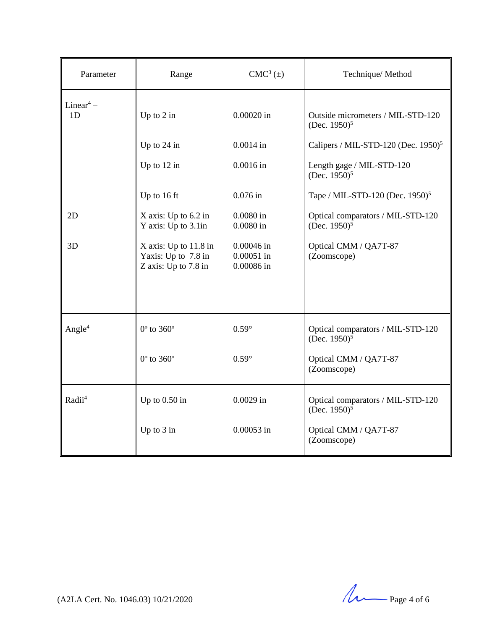| Parameter                               | Range                                                                  | $CMC3(\pm)$                                | Technique/Method                                                 |
|-----------------------------------------|------------------------------------------------------------------------|--------------------------------------------|------------------------------------------------------------------|
| Linear <sup>4</sup> –<br>1 <sub>D</sub> | Up to $2$ in                                                           | 0.00020 in                                 | Outside micrometers / MIL-STD-120<br>(Dec. $1950$ ) <sup>5</sup> |
|                                         | Up to 24 in                                                            | $0.0014$ in                                | Calipers / MIL-STD-120 (Dec. $1950$ ) <sup>5</sup>               |
|                                         | Up to $12$ in                                                          | $0.0016$ in                                | Length gage / MIL-STD-120<br>(Dec. $1950$ ) <sup>5</sup>         |
|                                         | Up to 16 ft                                                            | $0.076$ in                                 | Tape / MIL-STD-120 (Dec. 1950) <sup>5</sup>                      |
| 2D                                      | X axis: Up to 6.2 in<br>Y axis: Up to 3.1in                            | $0.0080$ in<br>$0.0080$ in                 | Optical comparators / MIL-STD-120<br>(Dec. 1950) <sup>5</sup>    |
| 3D                                      | $X$ axis: Up to 11.8 in<br>Yaxis: Up to 7.8 in<br>Z axis: Up to 7.8 in | $0.00046$ in<br>$0.00051$ in<br>0.00086 in | Optical CMM / QA7T-87<br>(Zoomscope)                             |
|                                         |                                                                        |                                            |                                                                  |
| Angle <sup>4</sup>                      | $0^{\circ}$ to 360 $^{\circ}$                                          | $0.59^\circ$                               | Optical comparators / MIL-STD-120<br>(Dec. $1950$ ) <sup>5</sup> |
|                                         | $0^{\circ}$ to 360 $^{\circ}$                                          | $0.59^\circ$                               | Optical CMM / QA7T-87<br>(Zoomscope)                             |
| Radii <sup>4</sup>                      | Up to $0.50$ in                                                        | $0.0029$ in                                | Optical comparators / MIL-STD-120<br>(Dec. $1950$ ) <sup>5</sup> |
|                                         | Up to $3$ in                                                           | 0.00053 in                                 | Optical CMM / QA7T-87<br>(Zoomscope)                             |

 $(A2LA$  Cert. No. 1046.03) 10/21/2020  $\mu$  Page 4 of 6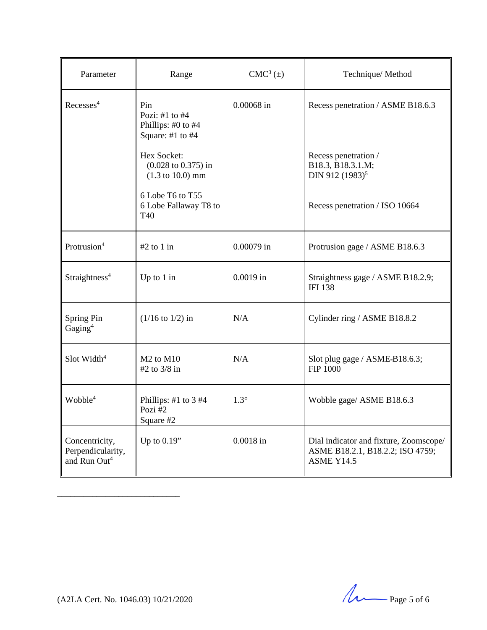| Parameter                                                       | Range                                                                                        | $CMC3(\pm)$ | Technique/Method                                                                                |
|-----------------------------------------------------------------|----------------------------------------------------------------------------------------------|-------------|-------------------------------------------------------------------------------------------------|
| Recesses <sup>4</sup>                                           | Pin<br>Pozi: #1 to #4<br>Phillips: #0 to #4<br>Square: #1 to #4                              | 0.00068 in  | Recess penetration / ASME B18.6.3                                                               |
|                                                                 | Hex Socket:<br>$(0.028 \text{ to } 0.375) \text{ in}$<br>$(1.3 \text{ to } 10.0) \text{ mm}$ |             | Recess penetration /<br>B18.3, B18.3.1.M;<br>DIN 912 (1983) <sup>5</sup>                        |
|                                                                 | 6 Lobe T6 to T55<br>6 Lobe Fallaway T8 to<br>T40                                             |             | Recess penetration / ISO 10664                                                                  |
| Protrusion <sup>4</sup>                                         | $#2$ to 1 in                                                                                 | 0.00079 in  | Protrusion gage / ASME B18.6.3                                                                  |
| Straightness <sup>4</sup>                                       | Up to $1$ in                                                                                 | $0.0019$ in | Straightness gage / ASME B18.2.9;<br><b>IFI 138</b>                                             |
| Spring Pin<br>Gaging <sup>4</sup>                               | $(1/16 \text{ to } 1/2)$ in                                                                  | N/A         | Cylinder ring / ASME B18.8.2                                                                    |
| Slot Width <sup>4</sup>                                         | $M2$ to $M10$<br>#2 to 3/8 in                                                                | N/A         | Slot plug gage / ASME-B18.6.3;<br>FIP 1000                                                      |
| Wobble <sup>4</sup>                                             | Phillips: #1 to $3$ #4<br>Pozi#2<br>Square #2                                                | $1.3^\circ$ | Wobble gage/ ASME B18.6.3                                                                       |
| Concentricity,<br>Perpendicularity,<br>and Run Out <sup>4</sup> | Up to $0.19"$                                                                                | $0.0018$ in | Dial indicator and fixture, Zoomscope/<br>ASME B18.2.1, B18.2.2; ISO 4759;<br><b>ASME Y14.5</b> |

 $(A2LA$  Cert. No. 1046.03) 10/21/2020  $\mu$  Page 5 of 6

\_\_\_\_\_\_\_\_\_\_\_\_\_\_\_\_\_\_\_\_\_\_\_\_\_\_\_\_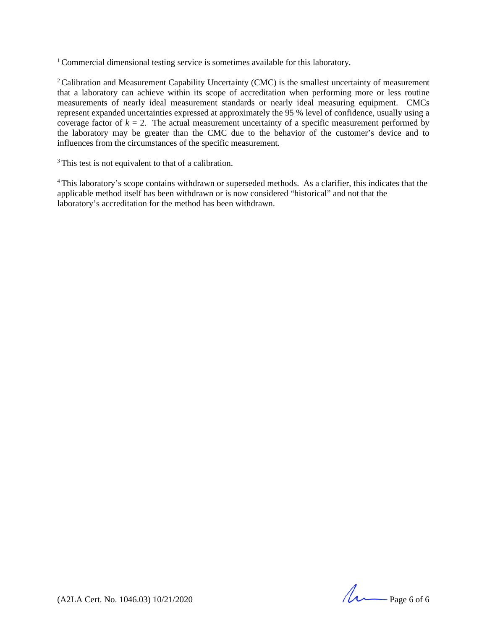<sup>1</sup> Commercial dimensional testing service is sometimes available for this laboratory.

<sup>2</sup> Calibration and Measurement Capability Uncertainty (CMC) is the smallest uncertainty of measurement that a laboratory can achieve within its scope of accreditation when performing more or less routine measurements of nearly ideal measurement standards or nearly ideal measuring equipment. CMCs represent expanded uncertainties expressed at approximately the 95 % level of confidence, usually using a coverage factor of  $k = 2$ . The actual measurement uncertainty of a specific measurement performed by the laboratory may be greater than the CMC due to the behavior of the customer's device and to influences from the circumstances of the specific measurement.

<sup>3</sup> This test is not equivalent to that of a calibration.

<sup>4</sup> This laboratory's scope contains withdrawn or superseded methods. As a clarifier, this indicates that the applicable method itself has been withdrawn or is now considered "historical" and not that the laboratory's accreditation for the method has been withdrawn.

(A2LA Cert. No. 1046.03) 10/21/2020 Page 6 of 6